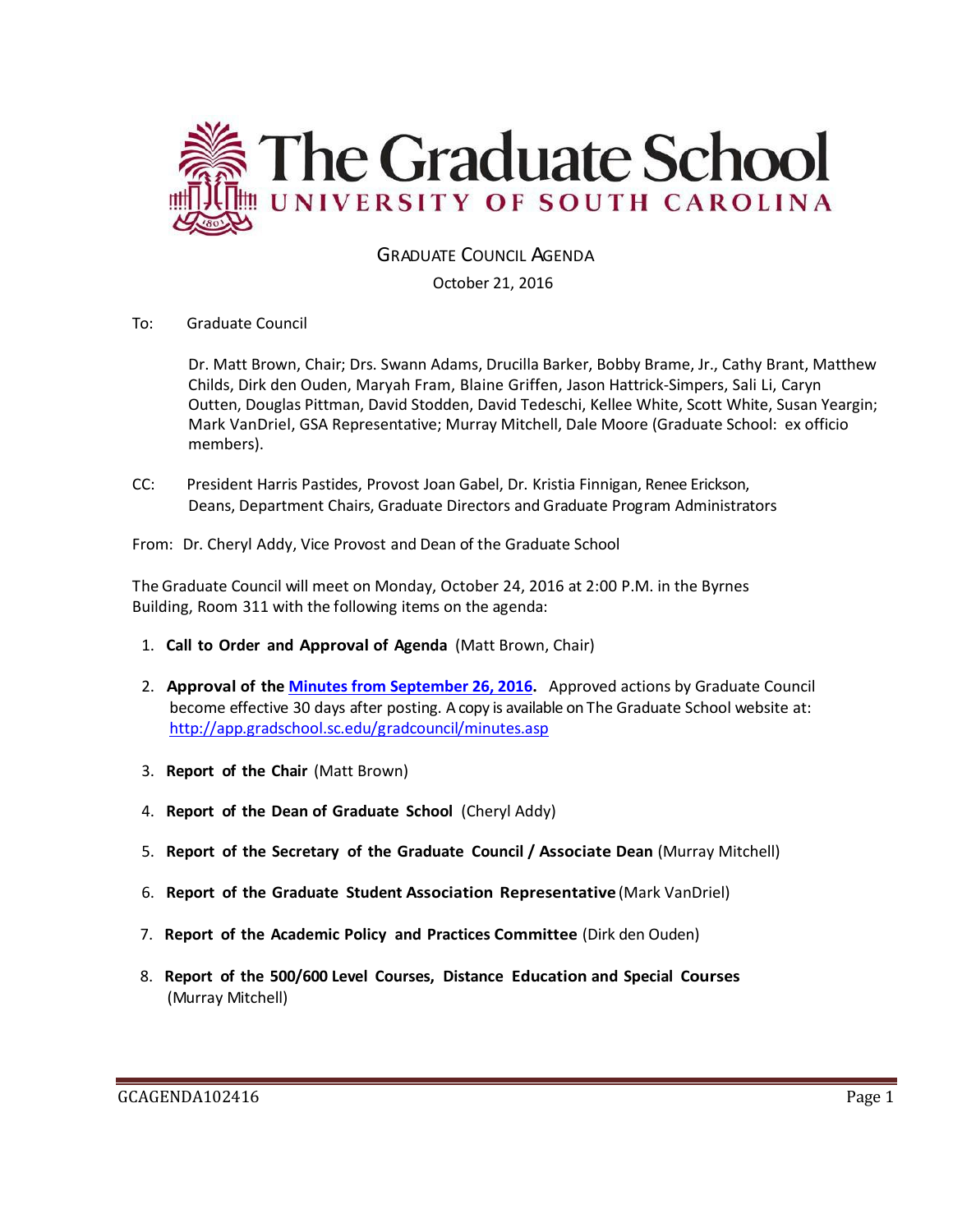

GRADUATE COUNCIL AGENDA

October 21, 2016

To: Graduate Council

Dr. Matt Brown, Chair; Drs. Swann Adams, Drucilla Barker, Bobby Brame, Jr., Cathy Brant, Matthew Childs, Dirk den Ouden, Maryah Fram, Blaine Griffen, Jason Hattrick-Simpers, Sali Li, Caryn Outten, Douglas Pittman, David Stodden, David Tedeschi, Kellee White, Scott White, Susan Yeargin; Mark VanDriel, GSA Representative; Murray Mitchell, Dale Moore (Graduate School: ex officio members).

CC: President Harris Pastides, Provost Joan Gabel, Dr. Kristia Finnigan, Renee Erickson, Deans, Department Chairs, Graduate Directors and Graduate Program Administrators

From: Dr. Cheryl Addy, Vice Provost and Dean of the Graduate School

The Graduate Council will meet on Monday, October 24, 2016 at 2:00 P.M. in the Byrnes Building, Room 311 with the following items on the agenda:

- 1. **Call to Order and Approval of Agenda** (Matt Brown, Chair)
- 2. **Approval of the [Minutes from September](http://gradschool.sc.edu/facstaff/gradcouncil/2016/GCMINUTESSEPTEMBER28%202016%20MFM.pdf) 26, 2016.** Approved actions by Graduate Council become effective 30 days after posting. A copy is available on The Graduate School website at: <http://app.gradschool.sc.edu/gradcouncil/minutes.asp>
- 3. **Report of the Chair** (Matt Brown)
- 4. **Report of the Dean of Graduate School** (Cheryl Addy)
- 5. **Report of the Secretary of the Graduate Council / Associate Dean** (Murray Mitchell)
- 6. **Report of the Graduate Student Association Representative** (Mark VanDriel)
- 7. **Report of the Academic Policy and Practices Committee** (Dirk den Ouden)
- 8. **Report of the 500/600 Level Courses, Distance Education and Special Courses** (Murray Mitchell)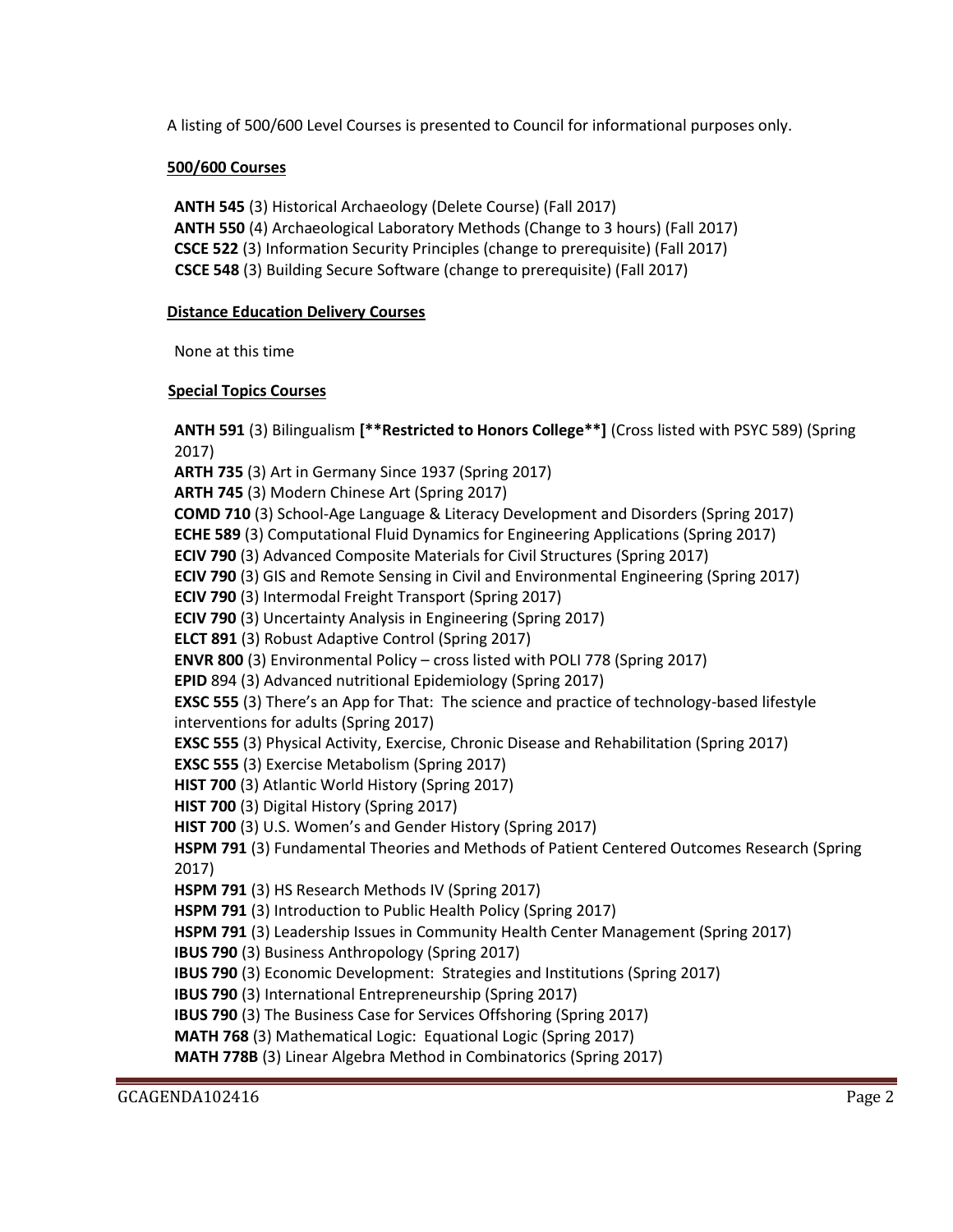A listing of 500/600 Level Courses is presented to Council for informational purposes only.

## **500/600 Courses**

 **ANTH 545** (3) Historical Archaeology (Delete Course) (Fall 2017) **ANTH 550** (4) Archaeological Laboratory Methods (Change to 3 hours) (Fall 2017) **CSCE 522** (3) Information Security Principles (change to prerequisite) (Fall 2017)  **CSCE 548** (3) Building Secure Software (change to prerequisite) (Fall 2017)

### **Distance Education Delivery Courses**

None at this time

### **Special Topics Courses**

**ANTH 591** (3) Bilingualism **[\*\*Restricted to Honors College\*\*]** (Cross listed with PSYC 589) (Spring 2017) **ARTH 735** (3) Art in Germany Since 1937 (Spring 2017) **ARTH 745** (3) Modern Chinese Art (Spring 2017) **COMD 710** (3) School-Age Language & Literacy Development and Disorders (Spring 2017) **ECHE 589** (3) Computational Fluid Dynamics for Engineering Applications (Spring 2017) **ECIV 790** (3) Advanced Composite Materials for Civil Structures (Spring 2017) **ECIV 790** (3) GIS and Remote Sensing in Civil and Environmental Engineering (Spring 2017) **ECIV 790** (3) Intermodal Freight Transport (Spring 2017) **ECIV 790** (3) Uncertainty Analysis in Engineering (Spring 2017) **ELCT 891** (3) Robust Adaptive Control (Spring 2017) **ENVR 800** (3) Environmental Policy – cross listed with POLI 778 (Spring 2017) **EPID** 894 (3) Advanced nutritional Epidemiology (Spring 2017) **EXSC 555** (3) There's an App for That: The science and practice of technology-based lifestyle interventions for adults (Spring 2017) **EXSC 555** (3) Physical Activity, Exercise, Chronic Disease and Rehabilitation (Spring 2017) **EXSC 555** (3) Exercise Metabolism (Spring 2017) **HIST 700** (3) Atlantic World History (Spring 2017) **HIST 700** (3) Digital History (Spring 2017) **HIST 700** (3) U.S. Women's and Gender History (Spring 2017) **HSPM 791** (3) Fundamental Theories and Methods of Patient Centered Outcomes Research (Spring 2017) **HSPM 791** (3) HS Research Methods IV (Spring 2017) **HSPM 791** (3) Introduction to Public Health Policy (Spring 2017) **HSPM 791** (3) Leadership Issues in Community Health Center Management (Spring 2017) **IBUS 790** (3) Business Anthropology (Spring 2017) **IBUS 790** (3) Economic Development: Strategies and Institutions (Spring 2017) **IBUS 790** (3) International Entrepreneurship (Spring 2017) **IBUS 790** (3) The Business Case for Services Offshoring (Spring 2017) **MATH 768** (3) Mathematical Logic: Equational Logic (Spring 2017) **MATH 778B** (3) Linear Algebra Method in Combinatorics (Spring 2017)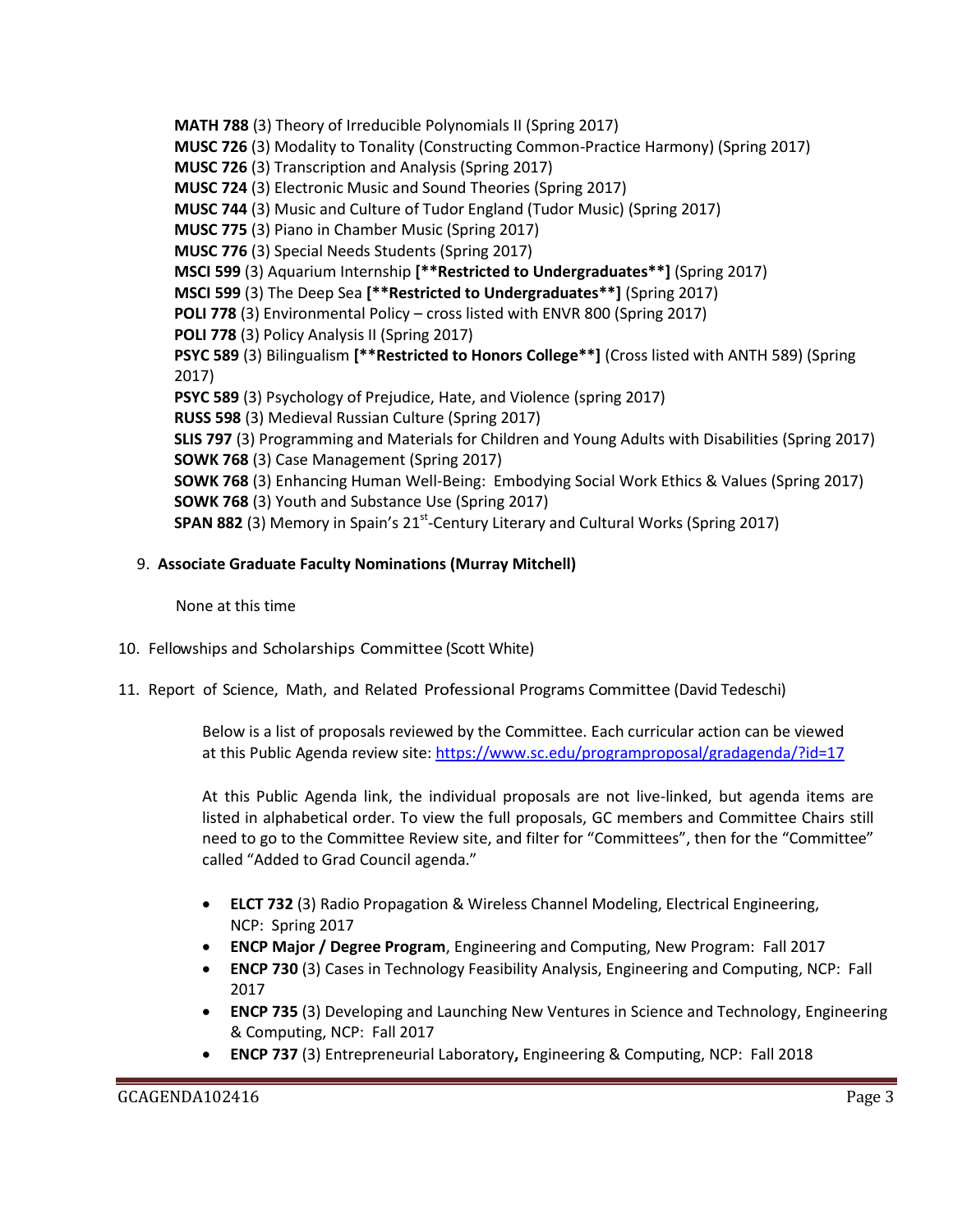**MATH 788** (3) Theory of Irreducible Polynomials II (Spring 2017) **MUSC 726** (3) Modality to Tonality (Constructing Common-Practice Harmony) (Spring 2017) **MUSC 726** (3) Transcription and Analysis (Spring 2017) **MUSC 724** (3) Electronic Music and Sound Theories (Spring 2017) **MUSC 744** (3) Music and Culture of Tudor England (Tudor Music) (Spring 2017) **MUSC 775** (3) Piano in Chamber Music (Spring 2017) **MUSC 776** (3) Special Needs Students (Spring 2017) **MSCI 599** (3) Aquarium Internship **[\*\*Restricted to Undergraduates\*\*]** (Spring 2017) **MSCI 599** (3) The Deep Sea **[\*\*Restricted to Undergraduates\*\*]** (Spring 2017) **POLI 778** (3) Environmental Policy – cross listed with ENVR 800 (Spring 2017) **POLI 778** (3) Policy Analysis II (Spring 2017) **PSYC 589** (3) Bilingualism **[\*\*Restricted to Honors College\*\*]** (Cross listed with ANTH 589) (Spring 2017) **PSYC 589** (3) Psychology of Prejudice, Hate, and Violence (spring 2017) **RUSS 598** (3) Medieval Russian Culture (Spring 2017) **SLIS 797** (3) Programming and Materials for Children and Young Adults with Disabilities (Spring 2017) **SOWK 768** (3) Case Management (Spring 2017) **SOWK 768** (3) Enhancing Human Well-Being: Embodying Social Work Ethics & Values (Spring 2017) **SOWK 768** (3) Youth and Substance Use (Spring 2017) **SPAN 882** (3) Memory in Spain's 21<sup>st</sup>-Century Literary and Cultural Works (Spring 2017)

# 9. **Associate Graduate Faculty Nominations (Murray Mitchell)**

None at this time

- 10. Fellowships and Scholarships Committee (Scott White)
- 11. Report of Science, Math, and Related Professional Programs Committee (David Tedeschi)

Below is a list of proposals reviewed by the Committee. Each curricular action can be viewed at this Public Agenda review site:<https://www.sc.edu/programproposal/gradagenda/?id=17>

At this Public Agenda link, the individual proposals are not live-linked, but agenda items are listed in alphabetical order. To view the full proposals, GC members and Committee Chairs still need to go to the Committee Review site, and filter for "Committees", then for the "Committee" called "Added to Grad Council agenda."

- **ELCT 732** (3) Radio Propagation & Wireless Channel Modeling, Electrical Engineering, NCP: Spring 2017
- **ENCP Major / Degree Program**, Engineering and Computing, New Program: Fall 2017
- **ENCP 730** (3) Cases in Technology Feasibility Analysis, Engineering and Computing, NCP: Fall 2017
- **ENCP 735** (3) Developing and Launching New Ventures in Science and Technology, Engineering & Computing, NCP: Fall 2017
- **ENCP 737** (3) Entrepreneurial Laboratory**,** Engineering & Computing, NCP: Fall 2018